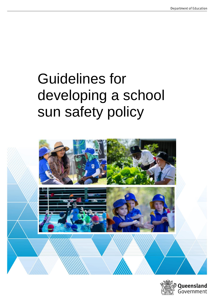# Guidelines for developing a school sun safety policy



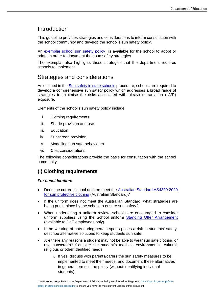# Introduction

This guideline provides strategies and considerations to inform consultation with the school community and develop the school's sun safety policy.

An [exemplar school sun safety policy](https://ppr.qed.qld.gov.au/attachment/exemplar-school-based-sun-safety-policy.pdf) is available for the school to adopt or adapt in order to document their sun safety strategies.

The exemplar also highlights those strategies that the department requires schools to implement.

# Strategies and considerations

As outlined in the [Sun safety in state schools](https://ppr.qld.gov.au/pp/sun-safety-in-state-schools-procedure) procedure, schools are required to develop a comprehensive sun safety policy which addresses a broad range of strategies to minimise the risks associated with ultraviolet radiation (UVR) exposure.

Elements of the school's sun safety policy include:

- i. Clothing requirements
- ii. Shade provision and use
- iii. Education
- iv. Sunscreen provision
- v. Modelling sun safe behaviours
- vi. Cost considerations.

The following considerations provide the basis for consultation with the school community.

## **(i) Clothing requirements**

## *For consideration:*

- Does the current school uniform meet the **Australian Standard AS4399:2020** [for sun protective clothing](https://www.arpansa.gov.au/our-services/testing-and-calibration/ultraviolet-services/labelling-sun-protective-clothing/au-standard) (Australian Standard)?
- If the uniform does not meet the Australian Standard, what strategies are being put in place by the school to ensure sun safety?
- When undertaking a uniform review, schools are encouraged to consider uniform suppliers using the School uniform [Standing Offer Arrangement](https://intranet.qed.qld.gov.au/Services/Procurement_Purchasing/Supplyarrangements/Pages/SchoolUniformsAndRepresentativeSportsUniforms.aspx) (available to DoE employees only).
- If the wearing of hats during certain sports poses a risk to students' safety, describe alternative solutions to keep students sun safe.
- Are there any reasons a student may not be able to wear sun safe clothing or use sunscreen? Consider the student's medical, environmental, cultural, religious or other identified needs.
	- $\circ$  If yes, discuss with parents/carers the sun safety measures to be implemented to meet their needs, and document these alternatives in general terms in the policy (without identifying individual students).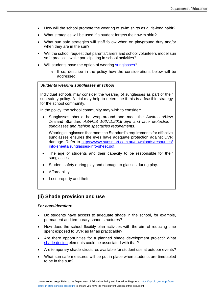- How will the school promote the wearing of swim shirts as a life-long habit?
- What strategies will be used if a student forgets their swim shirt?
- What sun safe strategies will staff follow when on playground duty and/or when they are in the sun?
- Will the school request that parents/carers and school volunteers model sun safe practices while participating in school activities?
- Will students have the option of wearing [sunglasses?](https://www.qld.gov.au/health/staying-healthy/environmental/sun/how#sunglasses)
	- $\circ$  If so, describe in the policy how the considerations below will be addressed.

#### *Students wearing sunglasses at school*

Individual schools may consider the wearing of sunglasses as part of their sun safety policy. A trial may help to determine if this is a feasible strategy for the school community.

In the policy, the school community may wish to consider:

Sunglasses should be wrap-around and meet the Australian/New Zealand Standard *AS/NZS 1067.1:2016 Eye and face protection sunglasses and fashion spectacles requirements*.

Wearing sunglasses that meet the Standard's requirements for effective sunglasses ensures the eyes have adequate protection against UVR damage. Refer to [https://www.sunsmart.com.au/downloads/resources/](https://www.sunsmart.com.au/downloads/resources/info-sheets/sunglasses-info-sheet.pdf) [info-sheets/sunglasses-info-sheet.pdf.](https://www.sunsmart.com.au/downloads/resources/info-sheets/sunglasses-info-sheet.pdf)

- The age of students and their capacity to be responsible for their sunglasses.
- Student safety during play and damage to glasses during play.
- Affordability.
- Lost property and theft.

## **(ii) Shade provision and use**

#### *For consideration:*

- Do students have access to adequate shade in the school, for example, permanent and temporary shade structures?
- How does the school flexibly plan activities with the aim of reducing time spent exposed to UVR as far as practicable?
- Are there opportunities for a planned shade development project? What [shade design](https://www.health.qld.gov.au/public-health/schools/sun/shade) elements could be associated with that?
- Are temporary shade structures available for student use at outdoor events?
- What sun safe measures will be put in place when students are timetabled to be in the sun?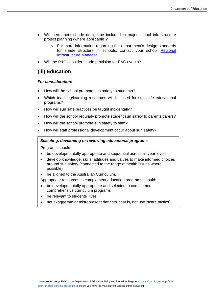- Will permanent shade design be included in major school infrastructure project planning (where applicable)?
	- o For more information regarding the department's design standards for shade structure in schools, contact your school [Regional](https://intranet.qed.qld.gov.au/Services/facilities/asset-advice/Pages/regional-advisory-infrastructure-services.aspx)  [Infrastructure Manager.](https://intranet.qed.qld.gov.au/Services/facilities/asset-advice/Pages/regional-advisory-infrastructure-services.aspx)
- Will the P&C consider shade provision for P&C events?

## **(iii) Education**

#### *For consideration:*

- How will the school promote sun safety to students?
- Which teaching/learning resources will be used for sun safe educational programs?
- How will sun safe practices be taught incidentally?
- How will the school regularly promote student sun safety to parents/carers?
- How will the school promote sun safety to staff?
- How will staff professional development occur about sun safety?

#### • *Selecting, developing or reviewing educational programs*

• Programs should:

- be developmentally appropriate and sequential across all year levels
- develop knowledge, skills, attitudes and values to make informed choices around sun safety (connected to the range of health issues where possible)
- be aligned to the Australian Curriculum.

Appropriate resources to complement education programs should:

- be developmentally appropriate and selected to complement comprehensive curriculum programs
- be relevant to students' lives
- not exaggerate or misrepresent dangers, that is, not use 'scare tactics'.